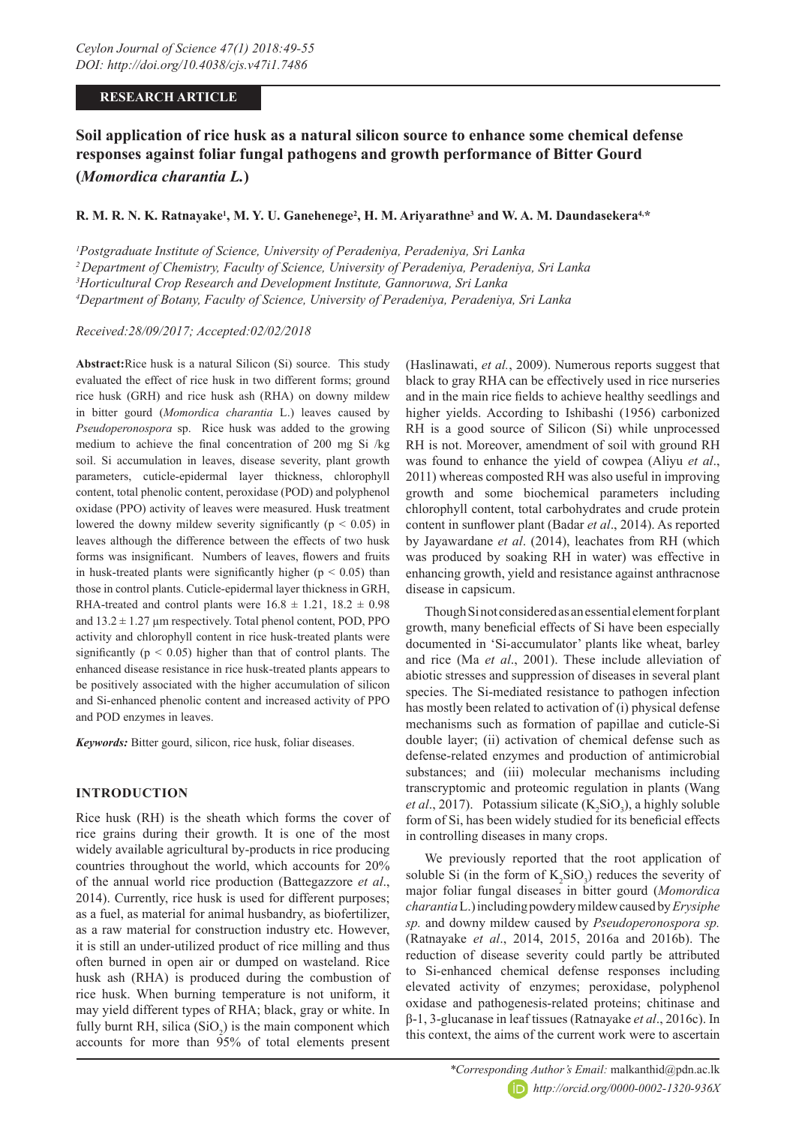## **RESEARCH ARTICLE**

# **Soil application of rice husk as a natural silicon source to enhance some chemical defense responses against foliar fungal pathogens and growth performance of Bitter Gourd (***Momordica charantia L.***)**

## **R. M. R. N. K. Ratnayake1 , M. Y. U. Ganehenege2 , H. M. Ariyarathne3 and W. A. M. Daundasekera4,\***

*1 Postgraduate Institute of Science, University of Peradeniya, Peradeniya, Sri Lanka*

*2 Department of Chemistry, Faculty of Science, University of Peradeniya, Peradeniya, Sri Lanka*

*3 Horticultural Crop Research and Development Institute, Gannoruwa, Sri Lanka*

*4 Department of Botany, Faculty of Science, University of Peradeniya, Peradeniya, Sri Lanka*

## *Received:28/09/2017; Accepted:02/02/2018*

**Abstract:**Rice husk is a natural Silicon (Si) source. This study evaluated the effect of rice husk in two different forms; ground rice husk (GRH) and rice husk ash (RHA) on downy mildew in bitter gourd (*Momordica charantia* L.) leaves caused by *Pseudoperonospora* sp. Rice husk was added to the growing medium to achieve the final concentration of 200 mg Si /kg soil. Si accumulation in leaves, disease severity, plant growth parameters, cuticle-epidermal layer thickness, chlorophyll content, total phenolic content, peroxidase (POD) and polyphenol oxidase (PPO) activity of leaves were measured. Husk treatment lowered the downy mildew severity significantly ( $p < 0.05$ ) in leaves although the difference between the effects of two husk forms was insignificant. Numbers of leaves, flowers and fruits in husk-treated plants were significantly higher ( $p < 0.05$ ) than those in control plants. Cuticle-epidermal layer thickness in GRH, RHA-treated and control plants were  $16.8 \pm 1.21$ ,  $18.2 \pm 0.98$ and  $13.2 \pm 1.27$  µm respectively. Total phenol content, POD, PPO activity and chlorophyll content in rice husk-treated plants were significantly ( $p < 0.05$ ) higher than that of control plants. The enhanced disease resistance in rice husk-treated plants appears to be positively associated with the higher accumulation of silicon and Si-enhanced phenolic content and increased activity of PPO and POD enzymes in leaves.

*Keywords:* Bitter gourd, silicon, rice husk, foliar diseases.

## **INTRODUCTION**

Rice husk (RH) is the sheath which forms the cover of rice grains during their growth. It is one of the most widely available agricultural by-products in rice producing countries throughout the world, which accounts for 20% of the annual world rice production (Battegazzore *et al*., 2014). Currently, rice husk is used for different purposes; as a fuel, as material for animal husbandry, as biofertilizer, as a raw material for construction industry etc. However, it is still an under-utilized product of rice milling and thus often burned in open air or dumped on wasteland. Rice husk ash (RHA) is produced during the combustion of rice husk. When burning temperature is not uniform, it may yield different types of RHA; black, gray or white. In fully burnt RH, silica  $(SiO_2)$  is the main component which accounts for more than 95% of total elements present

(Haslinawati, *et al.*, 2009). Numerous reports suggest that black to gray RHA can be effectively used in rice nurseries and in the main rice fields to achieve healthy seedlings and higher yields. According to Ishibashi (1956) carbonized RH is a good source of Silicon (Si) while unprocessed RH is not. Moreover, amendment of soil with ground RH was found to enhance the yield of cowpea (Aliyu *et al*., 2011) whereas composted RH was also useful in improving growth and some biochemical parameters including chlorophyll content, total carbohydrates and crude protein content in sunflower plant (Badar *et al*., 2014). As reported by Jayawardane *et al*. (2014), leachates from RH (which was produced by soaking RH in water) was effective in enhancing growth, yield and resistance against anthracnose disease in capsicum.

Though Si not considered as an essential element for plant growth, many beneficial effects of Si have been especially documented in 'Si-accumulator' plants like wheat, barley and rice (Ma *et al*., 2001). These include alleviation of abiotic stresses and suppression of diseases in several plant species. The Si-mediated resistance to pathogen infection has mostly been related to activation of (i) physical defense mechanisms such as formation of papillae and cuticle-Si double layer; (ii) activation of chemical defense such as defense-related enzymes and production of antimicrobial substances; and (iii) molecular mechanisms including transcryptomic and proteomic regulation in plants (Wang *et al.*, 2017). Potassium silicate  $(K_2SiO_3)$ , a highly soluble form of Si, has been widely studied for its beneficial effects in controlling diseases in many crops.

We previously reported that the root application of soluble Si (in the form of  $K_2SiO_3$ ) reduces the severity of major foliar fungal diseases in bitter gourd (*Momordica charantia* L.) including powdery mildew caused by *Erysiphe sp.* and downy mildew caused by *Pseudoperonospora sp.*  (Ratnayake *et al*., 2014, 2015, 2016a and 2016b). The reduction of disease severity could partly be attributed to Si-enhanced chemical defense responses including elevated activity of enzymes; peroxidase, polyphenol oxidase and pathogenesis-related proteins; chitinase and β-1, 3-glucanase in leaf tissues (Ratnayake *et al*., 2016c). In this context, the aims of the current work were to ascertain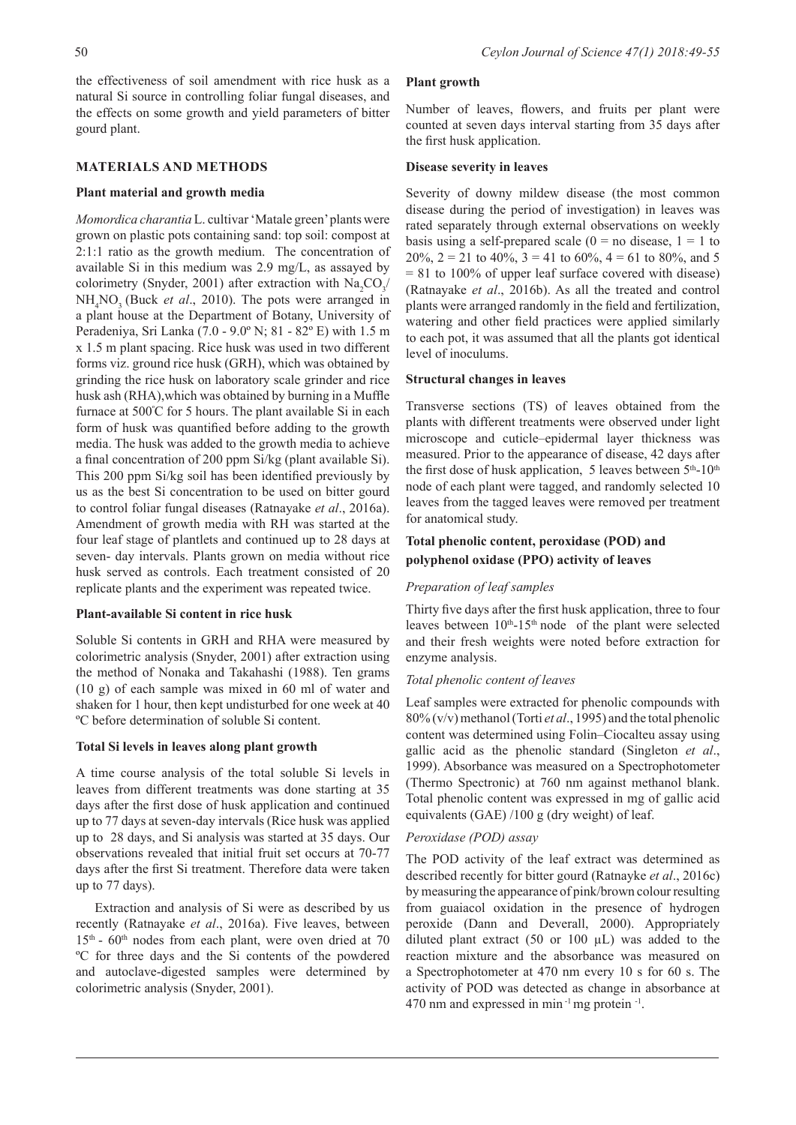the effectiveness of soil amendment with rice husk as a natural Si source in controlling foliar fungal diseases, and the effects on some growth and yield parameters of bitter gourd plant.

## **MATERIALS AND METHODS**

## **Plant material and growth media**

*Momordica charantia* L. cultivar 'Matale green' plants were grown on plastic pots containing sand: top soil: compost at 2:1:1 ratio as the growth medium. The concentration of available Si in this medium was 2.9 mg/L, as assayed by colorimetry (Snyder, 2001) after extraction with  $\text{Na}_2\text{CO}_3/$  $NH<sub>4</sub>NO<sub>3</sub>$  (Buck *et al.*, 2010). The pots were arranged in a plant house at the Department of Botany, University of Peradeniya, Sri Lanka (7.0 - 9.0º N; 81 - 82º E) with 1.5 m x 1.5 m plant spacing. Rice husk was used in two different forms viz. ground rice husk (GRH), which was obtained by grinding the rice husk on laboratory scale grinder and rice husk ash (RHA),which was obtained by burning in a Muffle furnace at 500º C for 5 hours. The plant available Si in each form of husk was quantified before adding to the growth media. The husk was added to the growth media to achieve a final concentration of 200 ppm Si/kg (plant available Si). This 200 ppm Si/kg soil has been identified previously by us as the best Si concentration to be used on bitter gourd to control foliar fungal diseases (Ratnayake *et al*., 2016a). Amendment of growth media with RH was started at the four leaf stage of plantlets and continued up to 28 days at seven- day intervals. Plants grown on media without rice husk served as controls. Each treatment consisted of 20 replicate plants and the experiment was repeated twice.

## **Plant-available Si content in rice husk**

Soluble Si contents in GRH and RHA were measured by colorimetric analysis (Snyder, 2001) after extraction using the method of Nonaka and Takahashi (1988). Ten grams (10 g) of each sample was mixed in 60 ml of water and shaken for 1 hour, then kept undisturbed for one week at 40 ºC before determination of soluble Si content.

#### **Total Si levels in leaves along plant growth**

A time course analysis of the total soluble Si levels in leaves from different treatments was done starting at 35 days after the first dose of husk application and continued up to 77 days at seven-day intervals (Rice husk was applied up to 28 days, and Si analysis was started at 35 days. Our observations revealed that initial fruit set occurs at 70-77 days after the first Si treatment. Therefore data were taken up to 77 days).

Extraction and analysis of Si were as described by us recently (Ratnayake *et al*., 2016a). Five leaves, between  $15<sup>th</sup>$  - 60<sup>th</sup> nodes from each plant, were oven dried at 70 ºC for three days and the Si contents of the powdered and autoclave-digested samples were determined by colorimetric analysis (Snyder, 2001).

## **Plant growth**

Number of leaves, flowers, and fruits per plant were counted at seven days interval starting from 35 days after the first husk application.

#### **Disease severity in leaves**

Severity of downy mildew disease (the most common disease during the period of investigation) in leaves was rated separately through external observations on weekly basis using a self-prepared scale  $(0 = no$  disease,  $1 = 1$  to 20%,  $2 = 21$  to 40%,  $3 = 41$  to 60%,  $4 = 61$  to 80%, and 5 = 81 to 100% of upper leaf surface covered with disease) (Ratnayake *et al*., 2016b). As all the treated and control plants were arranged randomly in the field and fertilization, watering and other field practices were applied similarly to each pot, it was assumed that all the plants got identical level of inoculums.

### **Structural changes in leaves**

Transverse sections (TS) of leaves obtained from the plants with different treatments were observed under light microscope and cuticle–epidermal layer thickness was measured. Prior to the appearance of disease, 42 days after the first dose of husk application, 5 leaves between  $5<sup>th</sup>$ -10<sup>th</sup> node of each plant were tagged, and randomly selected 10 leaves from the tagged leaves were removed per treatment for anatomical study.

## **Total phenolic content, peroxidase (POD) and polyphenol oxidase (PPO) activity of leaves**

## *Preparation of leaf samples*

Thirty five days after the first husk application, three to four leaves between  $10<sup>th</sup>$ -15<sup>th</sup> node of the plant were selected and their fresh weights were noted before extraction for enzyme analysis.

## *Total phenolic content of leaves*

Leaf samples were extracted for phenolic compounds with 80% (v/v) methanol (Torti *et al*., 1995) and the total phenolic content was determined using Folin–Ciocalteu assay using gallic acid as the phenolic standard (Singleton *et al*., 1999). Absorbance was measured on a Spectrophotometer (Thermo Spectronic) at 760 nm against methanol blank. Total phenolic content was expressed in mg of gallic acid equivalents (GAE) /100 g (dry weight) of leaf.

## *Peroxidase (POD) assay*

The POD activity of the leaf extract was determined as described recently for bitter gourd (Ratnayke *et al*., 2016c) by measuring the appearance of pink/brown colour resulting from guaiacol oxidation in the presence of hydrogen peroxide (Dann and Deverall, 2000). Appropriately diluted plant extract (50 or 100  $\mu$ L) was added to the reaction mixture and the absorbance was measured on a Spectrophotometer at 470 nm every 10 s for 60 s. The activity of POD was detected as change in absorbance at 470 nm and expressed in min $^{-1}$  mg protein $^{-1}$ .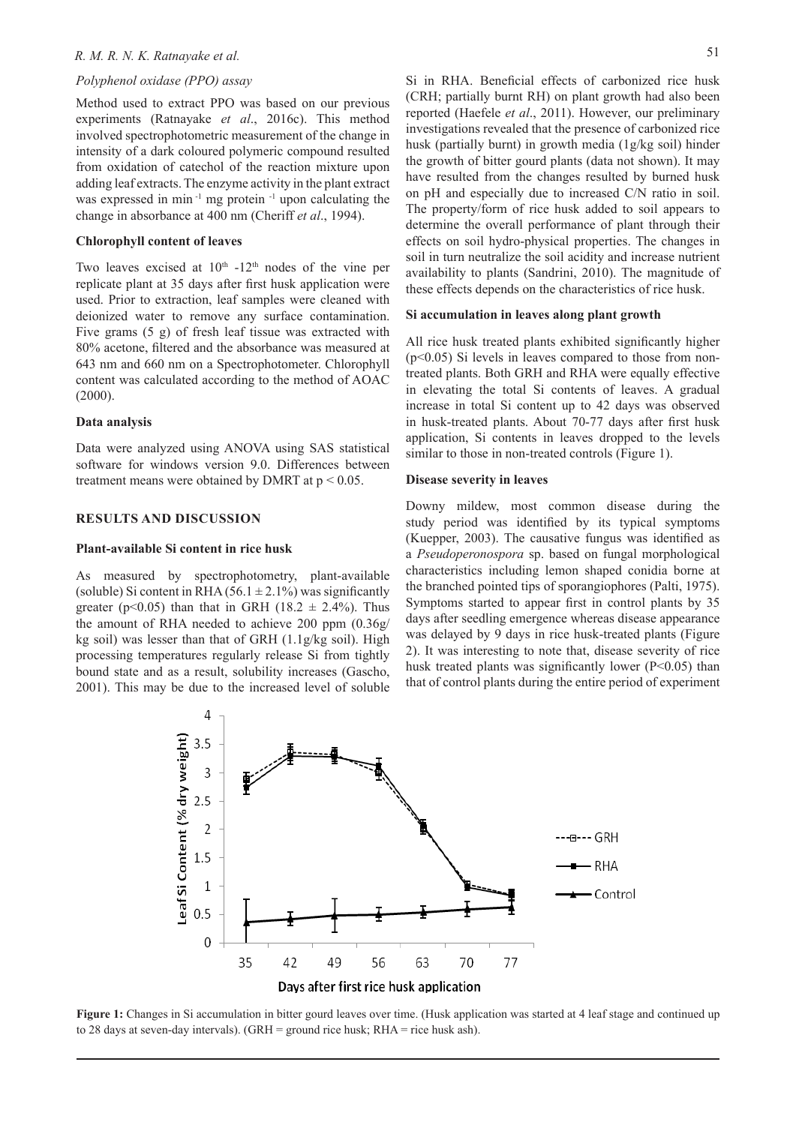#### *R. M. R. N. K. Ratnayake et al.*

#### *Polyphenol oxidase (PPO) assay*

Method used to extract PPO was based on our previous experiments (Ratnayake *et al*., 2016c). This method involved spectrophotometric measurement of the change in intensity of a dark coloured polymeric compound resulted from oxidation of catechol of the reaction mixture upon adding leaf extracts. The enzyme activity in the plant extract was expressed in min $^{-1}$  mg protein $^{-1}$  upon calculating the change in absorbance at 400 nm (Cheriff *et al*., 1994).

#### **Chlorophyll content of leaves**

Two leaves excised at  $10<sup>th</sup> -12<sup>th</sup>$  nodes of the vine per replicate plant at 35 days after first husk application were used. Prior to extraction, leaf samples were cleaned with deionized water to remove any surface contamination. Five grams (5 g) of fresh leaf tissue was extracted with 80% acetone, filtered and the absorbance was measured at 643 nm and 660 nm on a Spectrophotometer. Chlorophyll content was calculated according to the method of AOAC (2000).

#### **Data analysis**

Data were analyzed using ANOVA using SAS statistical software for windows version 9.0. Differences between treatment means were obtained by DMRT at  $p < 0.05$ .

### **RESULTS AND DISCUSSION**

#### **Plant-available Si content in rice husk**

As measured by spectrophotometry, plant-available (soluble) Si content in RHA (56.1  $\pm$  2.1%) was significantly greater (p<0.05) than that in GRH (18.2  $\pm$  2.4%). Thus the amount of RHA needed to achieve 200 ppm (0.36g/ kg soil) was lesser than that of GRH (1.1g/kg soil). High processing temperatures regularly release Si from tightly bound state and as a result, solubility increases (Gascho, 2001). This may be due to the increased level of soluble Si in RHA. Beneficial effects of carbonized rice husk (CRH; partially burnt RH) on plant growth had also been reported (Haefele *et al*., 2011). However, our preliminary investigations revealed that the presence of carbonized rice husk (partially burnt) in growth media (1g/kg soil) hinder the growth of bitter gourd plants (data not shown). It may have resulted from the changes resulted by burned husk on pH and especially due to increased C/N ratio in soil. The property/form of rice husk added to soil appears to determine the overall performance of plant through their effects on soil hydro-physical properties. The changes in soil in turn neutralize the soil acidity and increase nutrient availability to plants (Sandrini, 2010). The magnitude of these effects depends on the characteristics of rice husk.

#### **Si accumulation in leaves along plant growth**

All rice husk treated plants exhibited significantly higher  $(p<0.05)$  Si levels in leaves compared to those from nontreated plants. Both GRH and RHA were equally effective in elevating the total Si contents of leaves. A gradual increase in total Si content up to 42 days was observed in husk-treated plants. About 70-77 days after first husk application, Si contents in leaves dropped to the levels similar to those in non-treated controls (Figure 1).

#### **Disease severity in leaves**

Downy mildew, most common disease during the study period was identified by its typical symptoms (Kuepper, 2003). The causative fungus was identified as a *Pseudoperonospora* sp. based on fungal morphological characteristics including lemon shaped conidia borne at the branched pointed tips of sporangiophores (Palti, 1975). Symptoms started to appear first in control plants by 35 days after seedling emergence whereas disease appearance was delayed by 9 days in rice husk-treated plants (Figure 2). It was interesting to note that, disease severity of rice husk treated plants was significantly lower  $(P<0.05)$  than that of control plants during the entire period of experiment



Figure 1: Changes in Si accumulation in bitter gourd leaves over time. (Husk application was started at 4 leaf stage and continued up to 28 days at seven-day intervals). (GRH = ground rice husk; RHA = rice husk ash).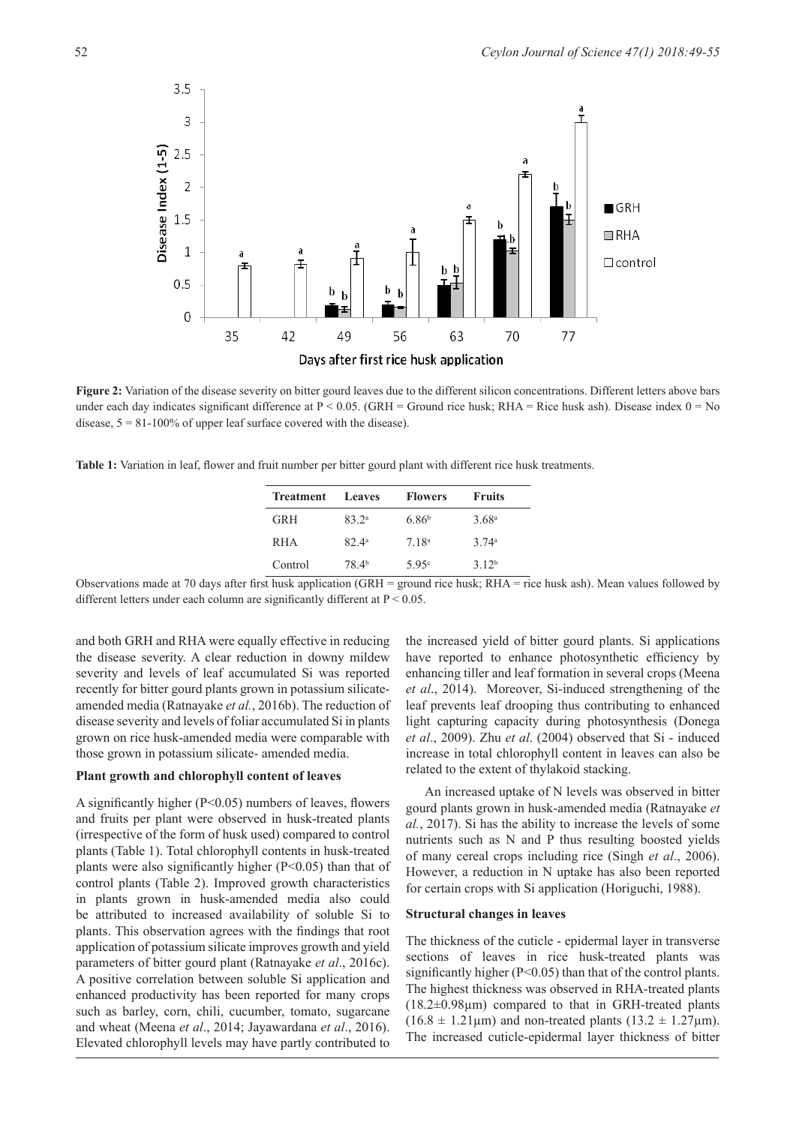

Figure 2: Variation of the disease severity on bitter gourd leaves due to the different silicon concentrations. Different letters above bars under each day indicates significant difference at  $P \le 0.05$ . (GRH = Ground rice husk; RHA = Rice husk ash). Disease index  $0 = No$ disease,  $5 = 81 - 100\%$  of upper leaf surface covered with the disease).

**Table 1:** Variation in leaf, flower and fruit number per bitter gourd plant with different rice husk treatments.

| <b>Treatment</b> | Leaves            | <b>Flowers</b>    | <b>Fruits</b>     |
|------------------|-------------------|-------------------|-------------------|
| GRH              | 83.2 <sup>a</sup> | 6.86 <sup>b</sup> | 3.68 <sup>a</sup> |
| RHA              | 82.4 <sup>a</sup> | 7.18 <sup>a</sup> | $374^a$           |
| Control          | 78.4 <sup>b</sup> | 5.95c             | 312 <sup>b</sup>  |

Observations made at 70 days after first husk application (GRH = ground rice husk; RHA = rice husk ash). Mean values followed by different letters under each column are significantly different at  $P < 0.05$ .

and both GRH and RHA were equally effective in reducing the disease severity. A clear reduction in downy mildew severity and levels of leaf accumulated Si was reported recently for bitter gourd plants grown in potassium silicateamended media (Ratnayake *et al.*, 2016b). The reduction of disease severity and levels of foliar accumulated Si in plants grown on rice husk-amended media were comparable with those grown in potassium silicate- amended media.

#### **Plant growth and chlorophyll content of leaves**

A significantly higher (P<0.05) numbers of leaves, flowers and fruits per plant were observed in husk-treated plants (irrespective of the form of husk used) compared to control plants (Table 1). Total chlorophyll contents in husk-treated plants were also significantly higher  $(P<0.05)$  than that of control plants (Table 2). Improved growth characteristics in plants grown in husk-amended media also could be attributed to increased availability of soluble Si to plants. This observation agrees with the findings that root application of potassium silicate improves growth and yield parameters of bitter gourd plant (Ratnayake *et al*., 2016c). A positive correlation between soluble Si application and enhanced productivity has been reported for many crops such as barley, corn, chili, cucumber, tomato, sugarcane and wheat (Meena *et al*., 2014; Jayawardana *et al*., 2016). Elevated chlorophyll levels may have partly contributed to

the increased yield of bitter gourd plants. Si applications have reported to enhance photosynthetic efficiency by enhancing tiller and leaf formation in several crops (Meena *et al*., 2014). Moreover, Si-induced strengthening of the leaf prevents leaf drooping thus contributing to enhanced light capturing capacity during photosynthesis (Donega *et al*., 2009). Zhu *et al*. (2004) observed that Si - induced increase in total chlorophyll content in leaves can also be related to the extent of thylakoid stacking.

An increased uptake of N levels was observed in bitter gourd plants grown in husk-amended media (Ratnayake *et al.*, 2017). Si has the ability to increase the levels of some nutrients such as N and P thus resulting boosted yields of many cereal crops including rice (Singh *et al*., 2006). However, a reduction in N uptake has also been reported for certain crops with Si application (Horiguchi, 1988).

#### **Structural changes in leaves**

The thickness of the cuticle - epidermal layer in transverse sections of leaves in rice husk-treated plants was significantly higher (P<0.05) than that of the control plants. The highest thickness was observed in RHA-treated plants  $(18.2\pm0.98$ um) compared to that in GRH-treated plants  $(16.8 \pm 1.21 \,\mu\text{m})$  and non-treated plants  $(13.2 \pm 1.27 \,\mu\text{m})$ . The increased cuticle-epidermal layer thickness of bitter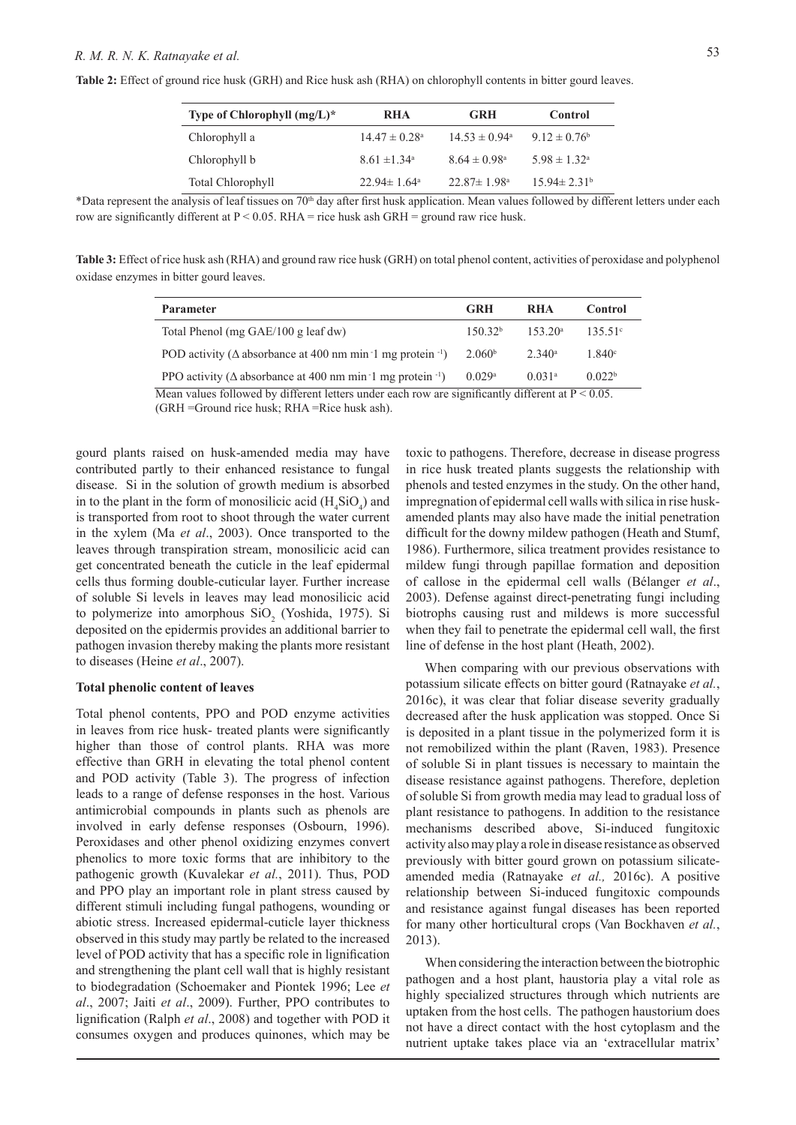| Table 2: Effect of ground rice husk (GRH) and Rice husk ash (RHA) on chlorophyll contents in bitter gourd leaves. |  |  |
|-------------------------------------------------------------------------------------------------------------------|--|--|
|                                                                                                                   |  |  |

| Type of Chlorophyll $(mg/L)^*$ | RHA                          | <b>GRH</b>                    | Control                  |
|--------------------------------|------------------------------|-------------------------------|--------------------------|
| Chlorophyll a                  | $14.47 \pm 0.28^{\text{a}}$  | $14.53 \pm 0.94^{\circ}$      | $9.12 \pm 0.76^b$        |
| Chlorophyll b                  | $8.61 \pm 1.34$ <sup>a</sup> | $8.64 \pm 0.98$ <sup>a</sup>  | $5.98 \pm 1.32^{\circ}$  |
| <b>Total Chlorophyll</b>       | $22.94 \pm 1.64^{\circ}$     | $22.87 \pm 1.98$ <sup>a</sup> | $15.94 \pm 2.31^{\circ}$ |

\*Data represent the analysis of leaf tissues on 70th day after first husk application. Mean values followed by different letters under each row are significantly different at  $P < 0.05$ . RHA = rice husk ash GRH = ground raw rice husk.

**Table 3:** Effect of rice husk ash (RHA) and ground raw rice husk (GRH) on total phenol content, activities of peroxidase and polyphenol oxidase enzymes in bitter gourd leaves.

| <b>Parameter</b>                                                                                     | <b>GRH</b>          | <b>RHA</b>           | <b>Control</b>     |  |
|------------------------------------------------------------------------------------------------------|---------------------|----------------------|--------------------|--|
| Total Phenol (mg $GAE/100$ g leaf dw)                                                                | 150.32 <sup>b</sup> | $153.20^{\circ}$     | $135.51^{\circ}$   |  |
| POD activity ( $\triangle$ absorbance at 400 nm min 1 mg protein $-1$ )                              | 2.060 <sup>b</sup>  | 2.340a               | $1.840^{\circ}$    |  |
| PPO activity ( $\triangle$ absorbance at 400 nm min 1 mg protein $^{-1}$ )                           | 0.029a              | $0.031$ <sup>a</sup> | 0.022 <sup>b</sup> |  |
| Mean values followed by different letters under each row are significantly different at $P < 0.05$ . |                     |                      |                    |  |

(GRH =Ground rice husk; RHA =Rice husk ash).

gourd plants raised on husk-amended media may have contributed partly to their enhanced resistance to fungal disease. Si in the solution of growth medium is absorbed in to the plant in the form of monosilicic acid  $(H_4SiO_4)$  and is transported from root to shoot through the water current in the xylem (Ma *et al*., 2003). Once transported to the leaves through transpiration stream, monosilicic acid can get concentrated beneath the cuticle in the leaf epidermal cells thus forming double-cuticular layer. Further increase of soluble Si levels in leaves may lead monosilicic acid to polymerize into amorphous  $SiO_2$  (Yoshida, 1975). Si deposited on the epidermis provides an additional barrier to pathogen invasion thereby making the plants more resistant to diseases (Heine *et al*., 2007).

#### **Total phenolic content of leaves**

Total phenol contents, PPO and POD enzyme activities in leaves from rice husk- treated plants were significantly higher than those of control plants. RHA was more effective than GRH in elevating the total phenol content and POD activity (Table 3). The progress of infection leads to a range of defense responses in the host. Various antimicrobial compounds in plants such as phenols are involved in early defense responses (Osbourn, 1996). Peroxidases and other phenol oxidizing enzymes convert phenolics to more toxic forms that are inhibitory to the pathogenic growth (Kuvalekar *et al.*, 2011). Thus, POD and PPO play an important role in plant stress caused by different stimuli including fungal pathogens, wounding or abiotic stress. Increased epidermal-cuticle layer thickness observed in this study may partly be related to the increased level of POD activity that has a specific role in lignification and strengthening the plant cell wall that is highly resistant to biodegradation (Schoemaker and Piontek 1996; Lee *et al*., 2007; Jaiti *et al*., 2009). Further, PPO contributes to lignification (Ralph *et al*., 2008) and together with POD it consumes oxygen and produces quinones, which may be

toxic to pathogens. Therefore, decrease in disease progress in rice husk treated plants suggests the relationship with phenols and tested enzymes in the study. On the other hand, impregnation of epidermal cell walls with silica in rise huskamended plants may also have made the initial penetration difficult for the downy mildew pathogen (Heath and Stumf, 1986). Furthermore, silica treatment provides resistance to mildew fungi through papillae formation and deposition of callose in the epidermal cell walls (Bélanger *et al*., 2003). Defense against direct-penetrating fungi including biotrophs causing rust and mildews is more successful when they fail to penetrate the epidermal cell wall, the first line of defense in the host plant (Heath, 2002).

When comparing with our previous observations with potassium silicate effects on bitter gourd (Ratnayake *et al.*, 2016c), it was clear that foliar disease severity gradually decreased after the husk application was stopped. Once Si is deposited in a plant tissue in the polymerized form it is not remobilized within the plant (Raven, 1983). Presence of soluble Si in plant tissues is necessary to maintain the disease resistance against pathogens. Therefore, depletion of soluble Si from growth media may lead to gradual loss of plant resistance to pathogens. In addition to the resistance mechanisms described above, Si-induced fungitoxic activity also may play a role in disease resistance as observed previously with bitter gourd grown on potassium silicateamended media (Ratnayake *et al.,* 2016c). A positive relationship between Si-induced fungitoxic compounds and resistance against fungal diseases has been reported for many other horticultural crops (Van Bockhaven *et al.*, 2013).

When considering the interaction between the biotrophic pathogen and a host plant, haustoria play a vital role as highly specialized structures through which nutrients are uptaken from the host cells. The pathogen haustorium does not have a direct contact with the host cytoplasm and the nutrient uptake takes place via an 'extracellular matrix'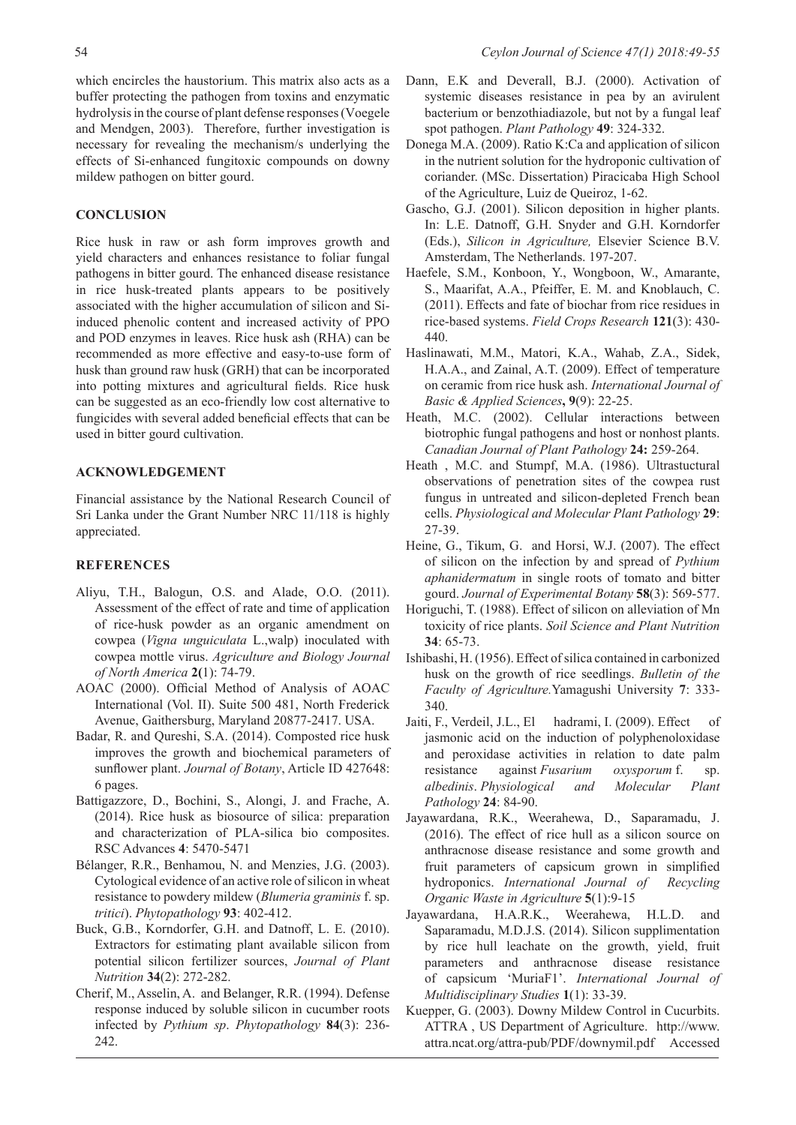which encircles the haustorium. This matrix also acts as a buffer protecting the pathogen from toxins and enzymatic hydrolysis in the course of plant defense responses (Voegele and Mendgen, 2003). Therefore, further investigation is necessary for revealing the mechanism/s underlying the effects of Si-enhanced fungitoxic compounds on downy mildew pathogen on bitter gourd.

## **CONCLUSION**

Rice husk in raw or ash form improves growth and yield characters and enhances resistance to foliar fungal pathogens in bitter gourd. The enhanced disease resistance in rice husk-treated plants appears to be positively associated with the higher accumulation of silicon and Siinduced phenolic content and increased activity of PPO and POD enzymes in leaves. Rice husk ash (RHA) can be recommended as more effective and easy-to-use form of husk than ground raw husk (GRH) that can be incorporated into potting mixtures and agricultural fields. Rice husk can be suggested as an eco-friendly low cost alternative to fungicides with several added beneficial effects that can be used in bitter gourd cultivation.

#### **ACKNOWLEDGEMENT**

Financial assistance by the National Research Council of Sri Lanka under the Grant Number NRC 11/118 is highly appreciated.

#### **REFERENCES**

- Aliyu, T.H., Balogun, O.S. and Alade, O.O. (2011). Assessment of the effect of rate and time of application of rice-husk powder as an organic amendment on cowpea (*Vigna unguiculata* L.,walp) inoculated with cowpea mottle virus. *Agriculture and Biology Journal of North America* **2(**1): 74-79.
- AOAC (2000). Official Method of Analysis of AOAC International (Vol. II). Suite 500 481, North Frederick Avenue, Gaithersburg, Maryland 20877-2417. USA.
- Badar, R. and Qureshi, S.A. (2014). Composted rice husk improves the growth and biochemical parameters of sunflower plant. *Journal of Botany*, Article ID 427648: 6 pages.
- Battigazzore, D., Bochini, S., Alongi, J. and Frache, A. (2014). Rice husk as biosource of silica: preparation and characterization of PLA-silica bio composites. RSC Advances **4**: 5470-5471
- Bélanger, R.R., Benhamou, N. and Menzies, J.G. (2003). Cytological evidence of an active role of silicon in wheat resistance to powdery mildew (*Blumeria graminis* f. sp. *tritici*). *Phytopathology* **93**: 402-412.
- Buck, G.B., Korndorfer, G.H. and Datnoff, L. E. (2010). Extractors for estimating plant available silicon from potential silicon fertilizer sources, *Journal of Plant Nutrition* **34**(2): 272-282.
- Cherif, M., Asselin, A. and Belanger, R.R. (1994). Defense response induced by soluble silicon in cucumber roots infected by *Pythium sp*. *Phytopathology* **84**(3): 236- 242.
- Dann, E.K and Deverall, B.J. (2000). Activation of systemic diseases resistance in pea by an avirulent bacterium or benzothiadiazole, but not by a fungal leaf spot pathogen. *Plant Pathology* **49**: 324-332.
- Donega M.A. (2009). Ratio K:Ca and application of silicon in the nutrient solution for the hydroponic cultivation of coriander. (MSc. Dissertation) Piracicaba High School of the Agriculture, Luiz de Queiroz, 1-62.
- Gascho, G.J. (2001). Silicon deposition in higher plants. In: L.E. Datnoff, G.H. Snyder and G.H. Korndorfer (Eds.), *Silicon in Agriculture,* Elsevier Science B.V. Amsterdam, The Netherlands. 197-207.
- Haefele, S.M., Konboon, Y., Wongboon, W., Amarante, S., Maarifat, A.A., Pfeiffer, E. M. and Knoblauch, C. (2011). Effects and fate of biochar from rice residues in rice-based systems. *Field Crops Research* **121**(3): 430- 440.
- Haslinawati, M.M., Matori, K.A., Wahab, Z.A., Sidek, H.A.A., and Zainal, A.T. (2009). Effect of temperature on ceramic from rice husk ash. *International Journal of Basic & Applied Sciences***, 9**(9): 22-25.
- Heath, M.C. (2002). Cellular interactions between biotrophic fungal pathogens and host or nonhost plants. *Canadian Journal of Plant Pathology* **24:** 259-264.
- Heath , M.C. and Stumpf, M.A. (1986). Ultrastuctural observations of penetration sites of the cowpea rust fungus in untreated and silicon-depleted French bean cells. *Physiological and Molecular Plant Pathology* **29**: 27-39.
- Heine, G., Tikum, G. and Horsi, W.J. (2007). The effect of silicon on the infection by and spread of *Pythium aphanidermatum* in single roots of tomato and bitter gourd. *Journal of Experimental Botany* **58**(3): 569-577.
- Horiguchi, T. (1988). Effect of silicon on alleviation of Mn toxicity of rice plants. *Soil Science and Plant Nutrition* **34**: 65-73.
- Ishibashi, H. (1956). Effect of silica contained in carbonized husk on the growth of rice seedlings. *Bulletin of the Faculty of Agriculture.*Yamagushi University **7**: 333- 340.
- Jaiti, F., Verdeil, J.L., El hadrami, I. (2009). Effect of jasmonic acid on the induction of polyphenoloxidase and peroxidase activities in relation to date palm resistance against *Fusarium oxysporum* f. sp. *albedinis*. *Physiological and Molecular Plant Pathology* **24**: 84-90.
- Jayawardana, R.K., Weerahewa, D., Saparamadu, J. (2016). The effect of rice hull as a silicon source on anthracnose disease resistance and some growth and fruit parameters of capsicum grown in simplified hydroponics. *International Journal of Recycling Organic Waste in Agriculture* **5**(1):9-15
- Jayawardana, H.A.R.K., Weerahewa, H.L.D. and Saparamadu, M.D.J.S. (2014). Silicon supplimentation by rice hull leachate on the growth, yield, fruit parameters and anthracnose disease resistance of capsicum 'MuriaF1'. *International Journal of Multidisciplinary Studies* **1**(1): 33-39.
- Kuepper, G. (2003). Downy Mildew Control in Cucurbits. ATTRA , US Department of Agriculture. http://www. attra.ncat.org/attra-pub/PDF/downymil.pdf Accessed